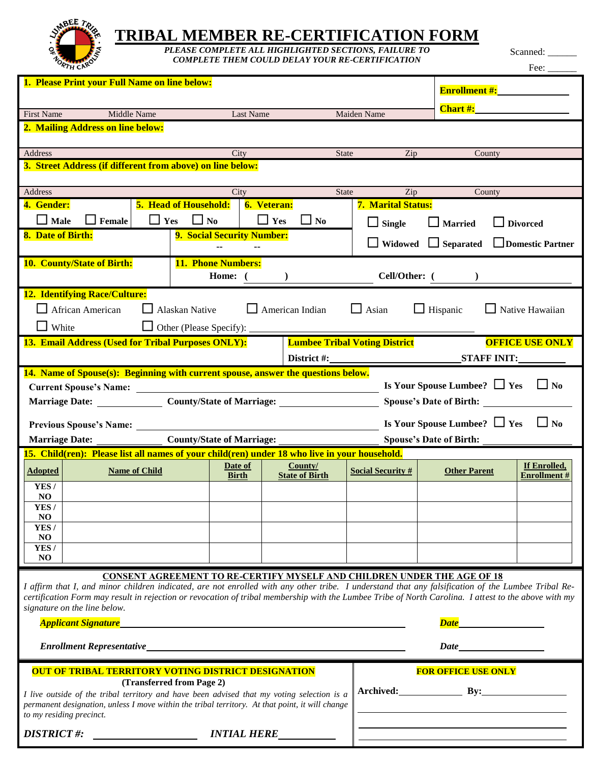

## **TRIBAL MEMBER RE-CERTIFICATION FORM**

*PLEASE COMPLETE ALL HIGHLIGHTED SECTIONS, FAILURE TO COMPLETE THEM COULD DELAY YOUR RE-CERTIFICATION*

Scanned: \_

Fee: \_\_\_\_\_\_

| 1. Please Print your Full Name on line below:                                                                                                                                                            |                                                                                                                                              |                                                                                   |                                      |                                 |                      |                                    |  |  |
|----------------------------------------------------------------------------------------------------------------------------------------------------------------------------------------------------------|----------------------------------------------------------------------------------------------------------------------------------------------|-----------------------------------------------------------------------------------|--------------------------------------|---------------------------------|----------------------|------------------------------------|--|--|
|                                                                                                                                                                                                          |                                                                                                                                              |                                                                                   |                                      |                                 | <b>Enrollment #:</b> |                                    |  |  |
| <b>First Name</b>                                                                                                                                                                                        | Middle Name                                                                                                                                  | Last Name                                                                         |                                      | Maiden Name                     | <b>Chart #:</b>      |                                    |  |  |
| 2. Mailing Address on line below:                                                                                                                                                                        |                                                                                                                                              |                                                                                   |                                      |                                 |                      |                                    |  |  |
|                                                                                                                                                                                                          |                                                                                                                                              |                                                                                   |                                      |                                 |                      |                                    |  |  |
| <b>Address</b>                                                                                                                                                                                           |                                                                                                                                              | City                                                                              | <b>State</b>                         | Zip                             | County               |                                    |  |  |
| 3. Street Address (if different from above) on line below:                                                                                                                                               |                                                                                                                                              |                                                                                   |                                      |                                 |                      |                                    |  |  |
| Address                                                                                                                                                                                                  |                                                                                                                                              | City                                                                              | <b>State</b>                         | Zip                             | County               |                                    |  |  |
| 4. Gender:                                                                                                                                                                                               |                                                                                                                                              | <b>5. Head of Household:</b><br><b>6. Veteran:</b>                                |                                      | <b>7. Marital Status:</b>       |                      |                                    |  |  |
| $\Box$ Male                                                                                                                                                                                              | $\Box$ Yes<br>Female                                                                                                                         | $\Box$ Yes<br>$\Box$ No                                                           | $\Box$ No                            | $\Box$ Single                   | $\Box$ Married       | <b>Divorced</b>                    |  |  |
| 8. Date of Birth:                                                                                                                                                                                        |                                                                                                                                              | 9. Social Security Number:                                                        |                                      | $\Box$ Widowed $\Box$ Separated |                      | <b>Domestic Partner</b>            |  |  |
|                                                                                                                                                                                                          | 10. County/State of Birth:<br><b>11. Phone Numbers:</b>                                                                                      |                                                                                   |                                      |                                 |                      |                                    |  |  |
|                                                                                                                                                                                                          |                                                                                                                                              | Home: 0                                                                           | Cell/Other: (                        |                                 |                      |                                    |  |  |
| <b>12. Identifying Race/Culture:</b>                                                                                                                                                                     |                                                                                                                                              |                                                                                   |                                      |                                 |                      |                                    |  |  |
|                                                                                                                                                                                                          | African American                                                                                                                             | Alaskan Native                                                                    | $\Box$ American Indian               | $\Box$ Asian                    | $\Box$ Hispanic      | $\Box$ Native Hawaiian             |  |  |
| $\Box$ White                                                                                                                                                                                             |                                                                                                                                              | $\Box$ Other (Please Specify):                                                    |                                      |                                 |                      |                                    |  |  |
|                                                                                                                                                                                                          | 13. Email Address (Used for Tribal Purposes ONLY):                                                                                           |                                                                                   | <b>Lumbee Tribal Voting District</b> |                                 |                      | <b>OFFICE USE ONLY</b>             |  |  |
|                                                                                                                                                                                                          |                                                                                                                                              |                                                                                   | District #:                          |                                 | <b>STAFF INIT:</b>   |                                    |  |  |
|                                                                                                                                                                                                          |                                                                                                                                              | 14. Name of Spouse(s): Beginning with current spouse, answer the questions below. |                                      |                                 |                      |                                    |  |  |
| Is Your Spouse Lumbee? $\Box$ Yes<br>$\Box$ No<br><b>Current Spouse's Name:</b><br><u> 1989 - Johann Harry Harry Harry Harry Harry Harry Harry Harry Harry Harry Harry Harry Harry Harry Harry Harry</u> |                                                                                                                                              |                                                                                   |                                      |                                 |                      |                                    |  |  |
|                                                                                                                                                                                                          | Marriage Date: County/State of Marriage: County Assembly Press, 2014<br>Spouse's Date of Birth: ________                                     |                                                                                   |                                      |                                 |                      |                                    |  |  |
| Is Your Spouse Lumbee? $\Box$ Yes<br>$\Box$ No<br>Previous Spouse's Name: _____                                                                                                                          |                                                                                                                                              |                                                                                   |                                      |                                 |                      |                                    |  |  |
|                                                                                                                                                                                                          | <b>County/State of Marriage:</b><br><b>Marriage Date:</b><br><b>Spouse's Date of Birth:</b>                                                  |                                                                                   |                                      |                                 |                      |                                    |  |  |
| 15. Child(ren): Please list all names of your child(ren) under 18 who live in your household.                                                                                                            |                                                                                                                                              |                                                                                   |                                      |                                 |                      |                                    |  |  |
| <b>Adopted</b>                                                                                                                                                                                           | <b>Name of Child</b>                                                                                                                         | Date of<br><b>Birth</b>                                                           | County/<br><b>State of Birth</b>     | <b>Social Security #</b>        | <b>Other Parent</b>  | If Enrolled,<br><b>Enrollment#</b> |  |  |
| YES/                                                                                                                                                                                                     |                                                                                                                                              |                                                                                   |                                      |                                 |                      |                                    |  |  |
| N <sub>O</sub><br>YES/                                                                                                                                                                                   |                                                                                                                                              |                                                                                   |                                      |                                 |                      |                                    |  |  |
| N <sub>O</sub>                                                                                                                                                                                           |                                                                                                                                              |                                                                                   |                                      |                                 |                      |                                    |  |  |
| YES/                                                                                                                                                                                                     |                                                                                                                                              |                                                                                   |                                      |                                 |                      |                                    |  |  |
| N <sub>O</sub><br>YES/                                                                                                                                                                                   |                                                                                                                                              |                                                                                   |                                      |                                 |                      |                                    |  |  |
| <b>NO</b>                                                                                                                                                                                                |                                                                                                                                              |                                                                                   |                                      |                                 |                      |                                    |  |  |
|                                                                                                                                                                                                          |                                                                                                                                              | <b>CONSENT AGREEMENT TO RE-CERTIFY MYSELF AND CHILDREN UNDER THE AGE OF 18</b>    |                                      |                                 |                      |                                    |  |  |
| I affirm that I, and minor children indicated, are not enrolled with any other tribe. I understand that any falsification of the Lumbee Tribal Re-                                                       |                                                                                                                                              |                                                                                   |                                      |                                 |                      |                                    |  |  |
| certification Form may result in rejection or revocation of tribal membership with the Lumbee Tribe of North Carolina. I attest to the above with my                                                     |                                                                                                                                              |                                                                                   |                                      |                                 |                      |                                    |  |  |
| signature on the line below.<br><b>Applicant Signature</b><br>Date <b>Date</b><br><u> 1980 - Johann Barbara, martxa alemaniar arg</u>                                                                    |                                                                                                                                              |                                                                                   |                                      |                                 |                      |                                    |  |  |
|                                                                                                                                                                                                          |                                                                                                                                              |                                                                                   |                                      |                                 |                      |                                    |  |  |
| Date                                                                                                                                                                                                     |                                                                                                                                              |                                                                                   |                                      |                                 |                      |                                    |  |  |
|                                                                                                                                                                                                          |                                                                                                                                              | <b>OUT OF TRIBAL TERRITORY VOTING DISTRICT DESIGNATION</b>                        | <b>FOR OFFICE USE ONLY</b>           |                                 |                      |                                    |  |  |
|                                                                                                                                                                                                          | (Transferred from Page 2)<br>Archived: By: By:<br>I live outside of the tribal territory and have been advised that my voting selection is a |                                                                                   |                                      |                                 |                      |                                    |  |  |
| permanent designation, unless I move within the tribal territory. At that point, it will change<br>to my residing precinct.                                                                              |                                                                                                                                              |                                                                                   |                                      |                                 |                      |                                    |  |  |
| <b>DISTRICT#:</b><br><i><b>INTIAL HERE</b></i>                                                                                                                                                           |                                                                                                                                              |                                                                                   |                                      |                                 |                      |                                    |  |  |